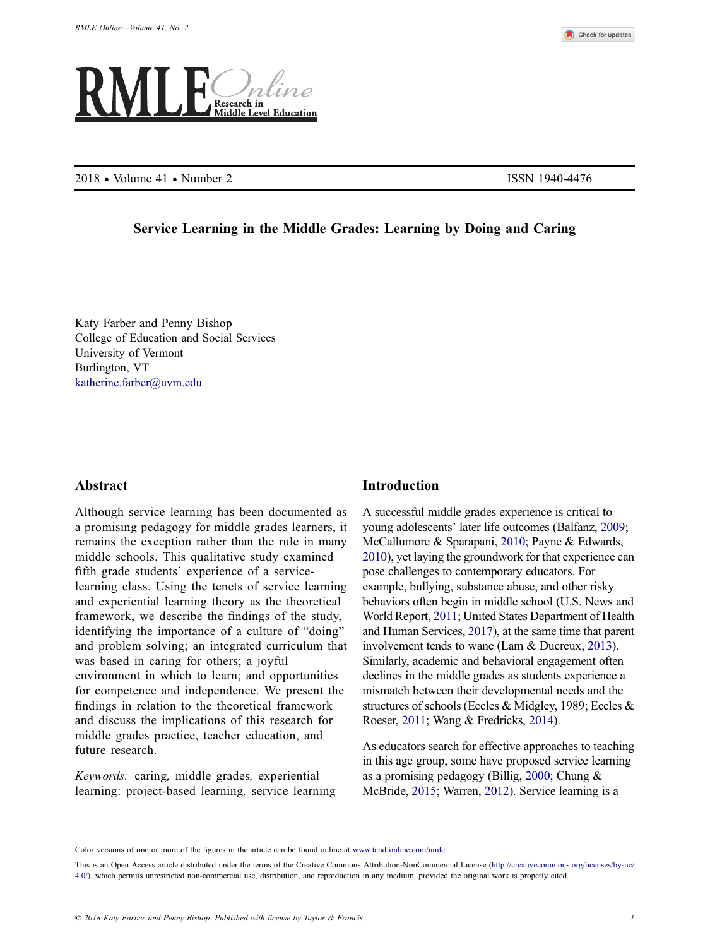

# Service Learning in the Middle Grades: Learning by Doing and Caring

Katy Farber and Penny Bishop College of Education and Social Services University of Vermont Burlington, VT katherine.farber@uvm.edu

# Abstract

Although service learning has been documented as a promising pedagogy for middle grades learners, it remains the exception rather than the rule in many middle schools. This qualitative study examined fifth grade students' experience of a servicelearning class. Using the tenets of service learning and experiential learning theory as the theoretical framework, we describe the findings of the study, identifying the importance of a culture of "doing" and problem solving; an integrated curriculum that was based in caring for others; a joyful environment in which to learn; and opportunities for competence and independence. We present the findings in relation to the theoretical framework and discuss the implications of this research for middle grades practice, teacher education, and future research.

Keywords: caring, middle grades, experiential learning: project-based learning, service learning

# Introduction

A successful middle grades experience is critical to young adolescents' later life outcomes (Balfanz, [2009;](#page-11-0) McCallumore & Sparapani, [2010](#page-12-0); Payne & Edwards, [2010\)](#page-12-0), yet laying the groundwork for that experience can pose challenges to contemporary educators. For example, bullying, substance abuse, and other risky behaviors often begin in middle school (U.S. News and World Report, [2011;](#page-12-0) United States Department of Health and Human Services, [2017](#page-12-0)), at the same time that parent involvement tends to wane (Lam & Ducreux, [2013](#page-12-0)). Similarly, academic and behavioral engagement often declines in the middle grades as students experience a mismatch between their developmental needs and the structures of schools (Eccles & Midgley, 1989; Eccles & Roeser, [2011;](#page-11-0) Wang & Fredricks, [2014](#page-12-0)).

As educators search for effective approaches to teaching in this age group, some have proposed service learning as a promising pedagogy (Billig, [2000](#page-11-0); Chung & McBride, [2015](#page-11-0); Warren, [2012](#page-12-0)). Service learning is a

Color versions of one or more of the figures in the article can be found online at [www.tandfonline.com/umle](http://www.tandfonline.com/umle).

This is an Open Access article distributed under the terms of the Creative Commons Attribution-NonCommercial License [\(http://creativecommons.org/licenses/by-nc/](http://creativecommons.org/licenses/by-nc/4.0/) [4.0/](http://creativecommons.org/licenses/by-nc/4.0/)), which permits unrestricted non-commercial use, distribution, and reproduction in any medium, provided the original work is properly cited.

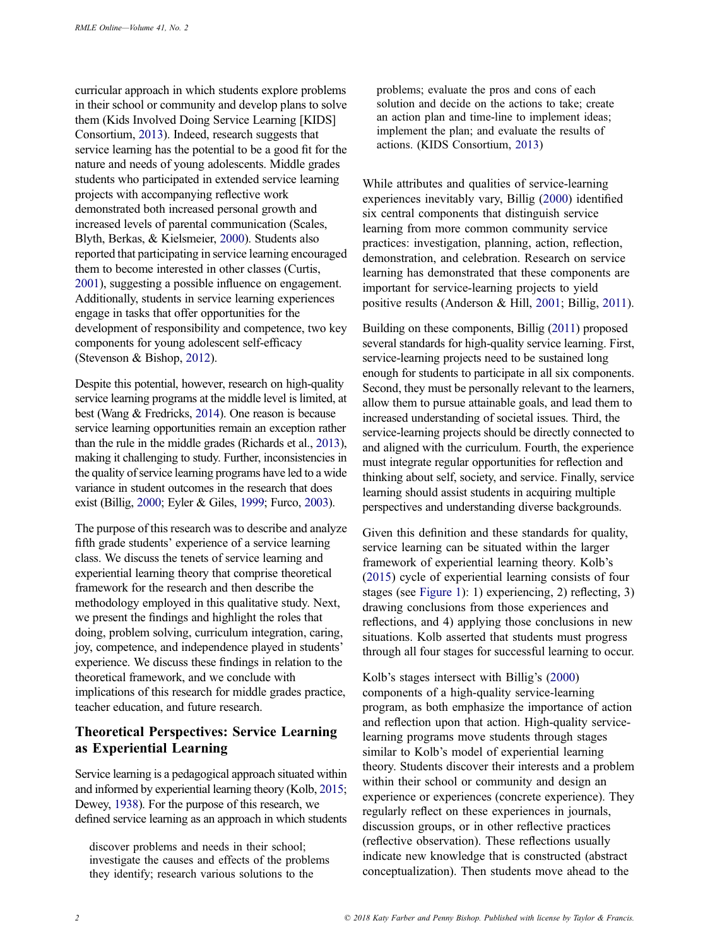curricular approach in which students explore problems in their school or community and develop plans to solve them (Kids Involved Doing Service Learning [KIDS] Consortium, [2013\)](#page-12-0). Indeed, research suggests that service learning has the potential to be a good fit for the nature and needs of young adolescents. Middle grades students who participated in extended service learning projects with accompanying reflective work demonstrated both increased personal growth and increased levels of parental communication (Scales, Blyth, Berkas, & Kielsmeier, [2000](#page-12-0)). Students also reported that participating in service learning encouraged them to become interested in other classes (Curtis, [2001](#page-11-0)), suggesting a possible influence on engagement. Additionally, students in service learning experiences engage in tasks that offer opportunities for the development of responsibility and competence, two key components for young adolescent self-efficacy (Stevenson & Bishop, [2012](#page-12-0)).

Despite this potential, however, research on high-quality service learning programs at the middle level is limited, at best (Wang & Fredricks, [2014\)](#page-12-0). One reason is because service learning opportunities remain an exception rather than the rule in the middle grades (Richards et al., [2013](#page-12-0)), making it challenging to study. Further, inconsistencies in the quality of service learning programs have led to a wide variance in student outcomes in the research that does exist (Billig, [2000;](#page-11-0) Eyler & Giles, [1999;](#page-11-0) Furco, [2003\)](#page-11-0).

The purpose of this research was to describe and analyze fifth grade students' experience of a service learning class. We discuss the tenets of service learning and experiential learning theory that comprise theoretical framework for the research and then describe the methodology employed in this qualitative study. Next, we present the findings and highlight the roles that doing, problem solving, curriculum integration, caring, joy, competence, and independence played in students' experience. We discuss these findings in relation to the theoretical framework, and we conclude with implications of this research for middle grades practice, teacher education, and future research.

# Theoretical Perspectives: Service Learning as Experiential Learning

Service learning is a pedagogical approach situated within and informed by experiential learning theory (Kolb, [2015](#page-12-0); Dewey, [1938\)](#page-11-0). For the purpose of this research, we defined service learning as an approach in which students

discover problems and needs in their school; investigate the causes and effects of the problems they identify; research various solutions to the

problems; evaluate the pros and cons of each solution and decide on the actions to take; create an action plan and time-line to implement ideas; implement the plan; and evaluate the results of actions. (KIDS Consortium, [2013](#page-12-0))

While attributes and qualities of service-learning experiences inevitably vary, Billig [\(2000](#page-11-0)) identified six central components that distinguish service learning from more common community service practices: investigation, planning, action, reflection, demonstration, and celebration. Research on service learning has demonstrated that these components are important for service-learning projects to yield positive results (Anderson & Hill, [2001](#page-11-0); Billig, [2011\)](#page-11-0).

Building on these components, Billig ([2011\)](#page-11-0) proposed several standards for high-quality service learning. First, service-learning projects need to be sustained long enough for students to participate in all six components. Second, they must be personally relevant to the learners, allow them to pursue attainable goals, and lead them to increased understanding of societal issues. Third, the service-learning projects should be directly connected to and aligned with the curriculum. Fourth, the experience must integrate regular opportunities for reflection and thinking about self, society, and service. Finally, service learning should assist students in acquiring multiple perspectives and understanding diverse backgrounds.

Given this definition and these standards for quality, service learning can be situated within the larger framework of experiential learning theory. Kolb's ([2015\)](#page-12-0) cycle of experiential learning consists of four stages (see [Figure 1](#page-2-0)): 1) experiencing, 2) reflecting, 3) drawing conclusions from those experiences and reflections, and 4) applying those conclusions in new situations. Kolb asserted that students must progress through all four stages for successful learning to occur.

Kolb's stages intersect with Billig's [\(2000](#page-11-0)) components of a high-quality service-learning program, as both emphasize the importance of action and reflection upon that action. High-quality servicelearning programs move students through stages similar to Kolb's model of experiential learning theory. Students discover their interests and a problem within their school or community and design an experience or experiences (concrete experience). They regularly reflect on these experiences in journals, discussion groups, or in other reflective practices (reflective observation). These reflections usually indicate new knowledge that is constructed (abstract conceptualization). Then students move ahead to the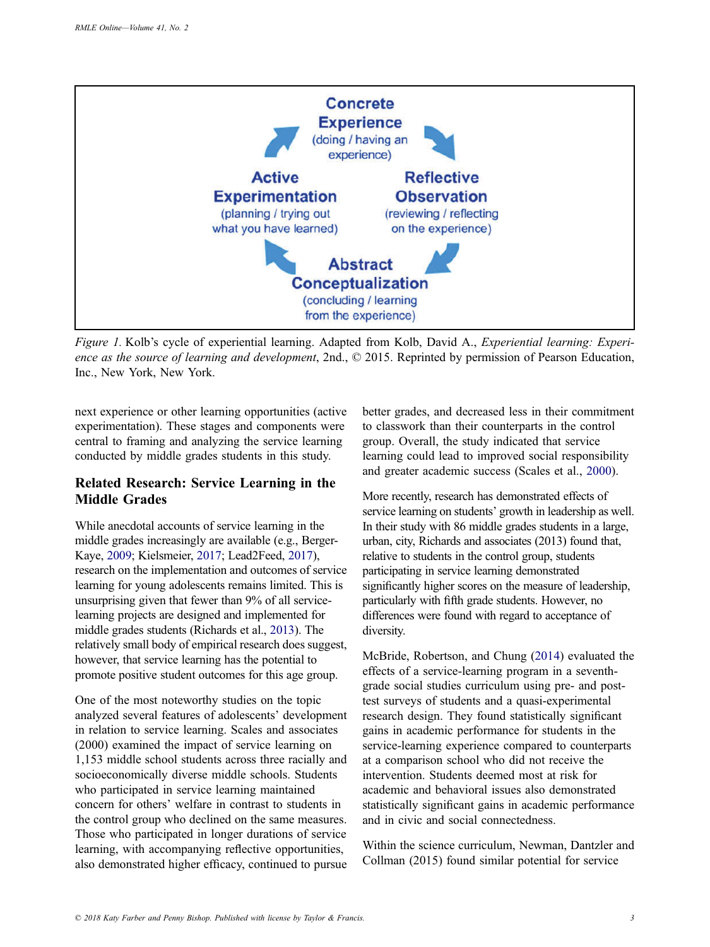<span id="page-2-0"></span>

Figure 1. Kolb's cycle of experiential learning. Adapted from Kolb, David A., Experiential learning: Experience as the source of learning and development, 2nd.,  $\heartsuit$  2015. Reprinted by permission of Pearson Education, Inc., New York, New York.

next experience or other learning opportunities (active experimentation). These stages and components were central to framing and analyzing the service learning conducted by middle grades students in this study.

# Related Research: Service Learning in the Middle Grades

While anecdotal accounts of service learning in the middle grades increasingly are available (e.g., Berger-Kaye, [2009](#page-11-0); Kielsmeier, [2017](#page-12-0); Lead2Feed, [2017\)](#page-12-0), research on the implementation and outcomes of service learning for young adolescents remains limited. This is unsurprising given that fewer than 9% of all servicelearning projects are designed and implemented for middle grades students (Richards et al., [2013](#page-12-0)). The relatively small body of empirical research does suggest, however, that service learning has the potential to promote positive student outcomes for this age group.

One of the most noteworthy studies on the topic analyzed several features of adolescents' development in relation to service learning. Scales and associates (2000) examined the impact of service learning on 1,153 middle school students across three racially and socioeconomically diverse middle schools. Students who participated in service learning maintained concern for others' welfare in contrast to students in the control group who declined on the same measures. Those who participated in longer durations of service learning, with accompanying reflective opportunities, also demonstrated higher efficacy, continued to pursue

better grades, and decreased less in their commitment to classwork than their counterparts in the control group. Overall, the study indicated that service learning could lead to improved social responsibility and greater academic success (Scales et al., [2000\)](#page-12-0).

More recently, research has demonstrated effects of service learning on students' growth in leadership as well. In their study with 86 middle grades students in a large, urban, city, Richards and associates (2013) found that, relative to students in the control group, students participating in service learning demonstrated significantly higher scores on the measure of leadership, particularly with fifth grade students. However, no differences were found with regard to acceptance of diversity.

McBride, Robertson, and Chung ([2014](#page-12-0)) evaluated the effects of a service-learning program in a seventhgrade social studies curriculum using pre- and posttest surveys of students and a quasi-experimental research design. They found statistically significant gains in academic performance for students in the service-learning experience compared to counterparts at a comparison school who did not receive the intervention. Students deemed most at risk for academic and behavioral issues also demonstrated statistically significant gains in academic performance and in civic and social connectedness.

Within the science curriculum, Newman, Dantzler and Collman (2015) found similar potential for service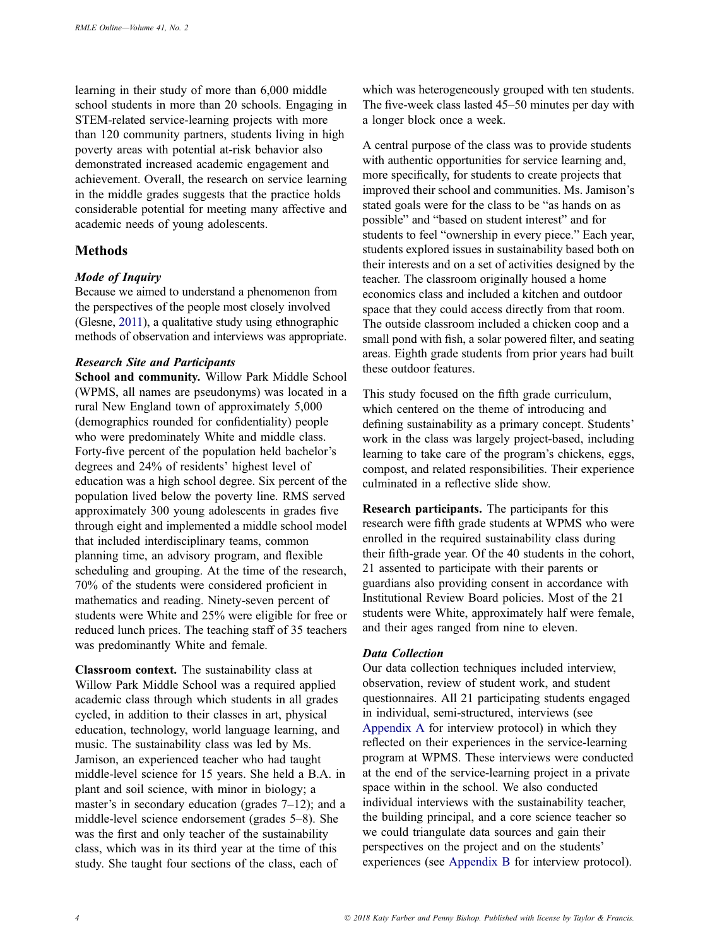learning in their study of more than 6,000 middle school students in more than 20 schools. Engaging in STEM-related service-learning projects with more than 120 community partners, students living in high poverty areas with potential at-risk behavior also demonstrated increased academic engagement and achievement. Overall, the research on service learning in the middle grades suggests that the practice holds considerable potential for meeting many affective and academic needs of young adolescents.

# Methods

### Mode of Inquiry

Because we aimed to understand a phenomenon from the perspectives of the people most closely involved (Glesne, [2011\)](#page-12-0), a qualitative study using ethnographic methods of observation and interviews was appropriate.

#### Research Site and Participants

School and community. Willow Park Middle School (WPMS, all names are pseudonyms) was located in a rural New England town of approximately 5,000 (demographics rounded for confidentiality) people who were predominately White and middle class. Forty-five percent of the population held bachelor's degrees and 24% of residents' highest level of education was a high school degree. Six percent of the population lived below the poverty line. RMS served approximately 300 young adolescents in grades five through eight and implemented a middle school model that included interdisciplinary teams, common planning time, an advisory program, and flexible scheduling and grouping. At the time of the research, 70% of the students were considered proficient in mathematics and reading. Ninety-seven percent of students were White and 25% were eligible for free or reduced lunch prices. The teaching staff of 35 teachers was predominantly White and female.

Classroom context. The sustainability class at Willow Park Middle School was a required applied academic class through which students in all grades cycled, in addition to their classes in art, physical education, technology, world language learning, and music. The sustainability class was led by Ms. Jamison, an experienced teacher who had taught middle-level science for 15 years. She held a B.A. in plant and soil science, with minor in biology; a master's in secondary education (grades 7–12); and a middle-level science endorsement (grades 5–8). She was the first and only teacher of the sustainability class, which was in its third year at the time of this study. She taught four sections of the class, each of

which was heterogeneously grouped with ten students. The five-week class lasted 45–50 minutes per day with a longer block once a week.

A central purpose of the class was to provide students with authentic opportunities for service learning and, more specifically, for students to create projects that improved their school and communities. Ms. Jamison's stated goals were for the class to be "as hands on as possible" and "based on student interest" and for students to feel "ownership in every piece." Each year, students explored issues in sustainability based both on their interests and on a set of activities designed by the teacher. The classroom originally housed a home economics class and included a kitchen and outdoor space that they could access directly from that room. The outside classroom included a chicken coop and a small pond with fish, a solar powered filter, and seating areas. Eighth grade students from prior years had built these outdoor features.

This study focused on the fifth grade curriculum, which centered on the theme of introducing and defining sustainability as a primary concept. Students' work in the class was largely project-based, including learning to take care of the program's chickens, eggs, compost, and related responsibilities. Their experience culminated in a reflective slide show.

Research participants. The participants for this research were fifth grade students at WPMS who were enrolled in the required sustainability class during their fifth-grade year. Of the 40 students in the cohort, 21 assented to participate with their parents or guardians also providing consent in accordance with Institutional Review Board policies. Most of the 21 students were White, approximately half were female, and their ages ranged from nine to eleven.

#### Data Collection

Our data collection techniques included interview, observation, review of student work, and student questionnaires. All 21 participating students engaged in individual, semi-structured, interviews (see Appendix A for interview protocol) in which they reflected on their experiences in the service-learning program at WPMS. These interviews were conducted at the end of the service-learning project in a private space within in the school. We also conducted individual interviews with the sustainability teacher, the building principal, and a core science teacher so we could triangulate data sources and gain their perspectives on the project and on the students' experiences (see Appendix B for interview protocol).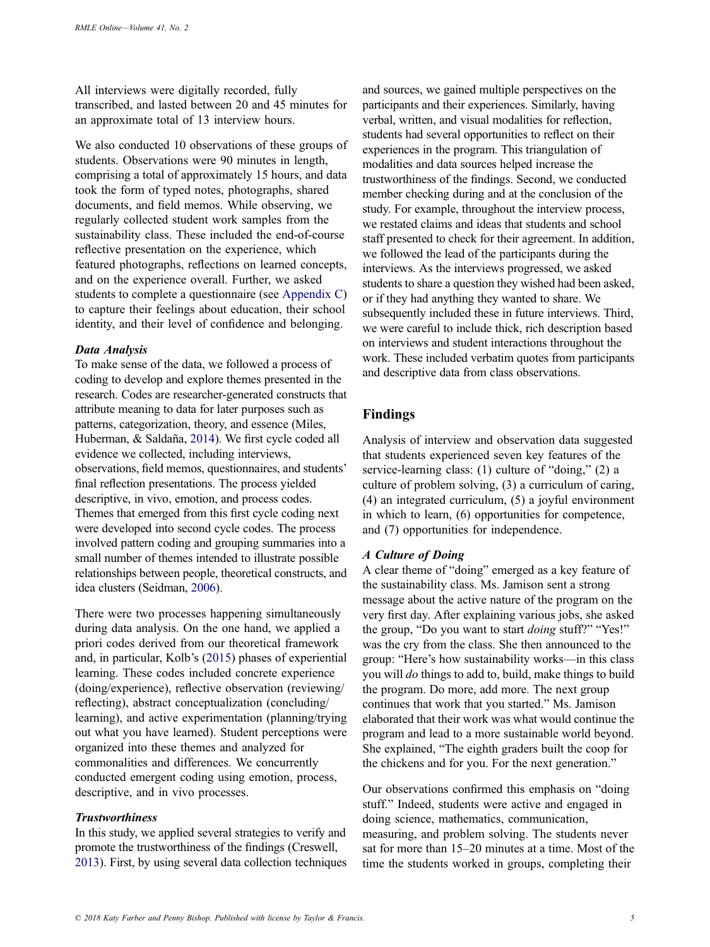All interviews were digitally recorded, fully transcribed, and lasted between 20 and 45 minutes for an approximate total of 13 interview hours.

We also conducted 10 observations of these groups of students. Observations were 90 minutes in length, comprising a total of approximately 15 hours, and data took the form of typed notes, photographs, shared documents, and field memos. While observing, we regularly collected student work samples from the sustainability class. These included the end-of-course reflective presentation on the experience, which featured photographs, reflections on learned concepts, and on the experience overall. Further, we asked students to complete a questionnaire (see Appendix C) to capture their feelings about education, their school identity, and their level of confidence and belonging.

#### Data Analysis

To make sense of the data, we followed a process of coding to develop and explore themes presented in the research. Codes are researcher-generated constructs that attribute meaning to data for later purposes such as patterns, categorization, theory, and essence (Miles, Huberman, & Saldaña, [2014\)](#page-12-0). We first cycle coded all evidence we collected, including interviews, observations, field memos, questionnaires, and students' final reflection presentations. The process yielded descriptive, in vivo, emotion, and process codes. Themes that emerged from this first cycle coding next were developed into second cycle codes. The process involved pattern coding and grouping summaries into a small number of themes intended to illustrate possible relationships between people, theoretical constructs, and idea clusters (Seidman, [2006](#page-12-0)).

There were two processes happening simultaneously during data analysis. On the one hand, we applied a priori codes derived from our theoretical framework and, in particular, Kolb's ([2015](#page-12-0)) phases of experiential learning. These codes included concrete experience (doing/experience), reflective observation (reviewing/ reflecting), abstract conceptualization (concluding/ learning), and active experimentation (planning/trying out what you have learned). Student perceptions were organized into these themes and analyzed for commonalities and differences. We concurrently conducted emergent coding using emotion, process, descriptive, and in vivo processes.

#### **Trustworthiness**

In this study, we applied several strategies to verify and promote the trustworthiness of the findings (Creswell, [2013](#page-11-0)). First, by using several data collection techniques and sources, we gained multiple perspectives on the participants and their experiences. Similarly, having verbal, written, and visual modalities for reflection, students had several opportunities to reflect on their experiences in the program. This triangulation of modalities and data sources helped increase the trustworthiness of the findings. Second, we conducted member checking during and at the conclusion of the study. For example, throughout the interview process, we restated claims and ideas that students and school staff presented to check for their agreement. In addition, we followed the lead of the participants during the interviews. As the interviews progressed, we asked students to share a question they wished had been asked, or if they had anything they wanted to share. We subsequently included these in future interviews. Third, we were careful to include thick, rich description based on interviews and student interactions throughout the work. These included verbatim quotes from participants and descriptive data from class observations.

# Findings

Analysis of interview and observation data suggested that students experienced seven key features of the service-learning class: (1) culture of "doing," (2) a culture of problem solving, (3) a curriculum of caring, (4) an integrated curriculum, (5) a joyful environment in which to learn, (6) opportunities for competence, and (7) opportunities for independence.

#### A Culture of Doing

A clear theme of "doing" emerged as a key feature of the sustainability class. Ms. Jamison sent a strong message about the active nature of the program on the very first day. After explaining various jobs, she asked the group, "Do you want to start doing stuff?" "Yes!" was the cry from the class. She then announced to the group: "Here's how sustainability works—in this class you will do things to add to, build, make things to build the program. Do more, add more. The next group continues that work that you started." Ms. Jamison elaborated that their work was what would continue the program and lead to a more sustainable world beyond. She explained, "The eighth graders built the coop for the chickens and for you. For the next generation."

Our observations confirmed this emphasis on "doing stuff." Indeed, students were active and engaged in doing science, mathematics, communication, measuring, and problem solving. The students never sat for more than 15–20 minutes at a time. Most of the time the students worked in groups, completing their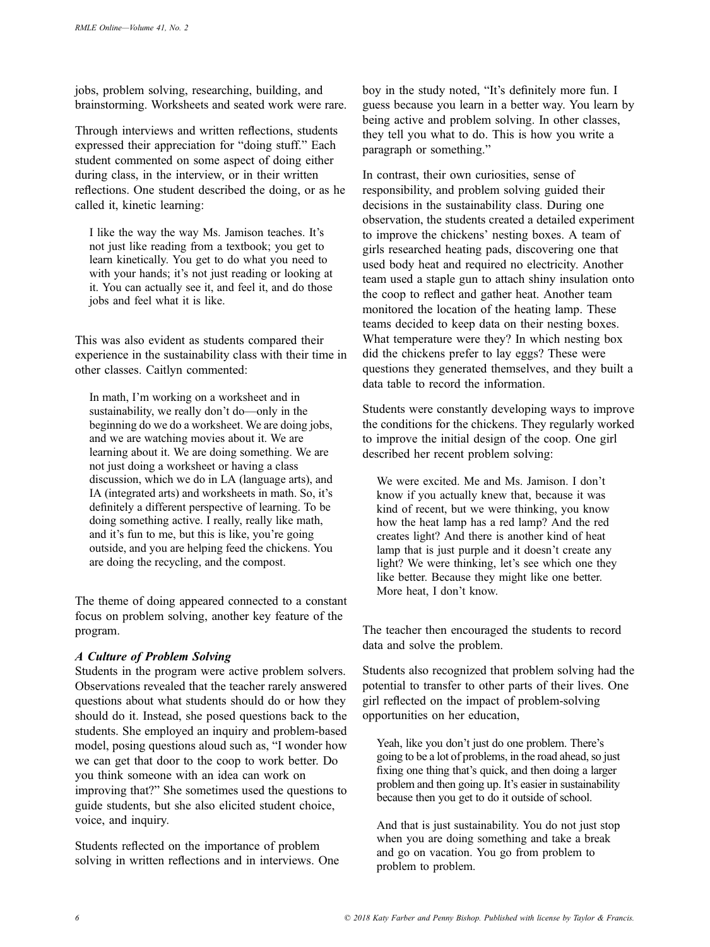jobs, problem solving, researching, building, and brainstorming. Worksheets and seated work were rare.

Through interviews and written reflections, students expressed their appreciation for "doing stuff." Each student commented on some aspect of doing either during class, in the interview, or in their written reflections. One student described the doing, or as he called it, kinetic learning:

I like the way the way Ms. Jamison teaches. It's not just like reading from a textbook; you get to learn kinetically. You get to do what you need to with your hands; it's not just reading or looking at it. You can actually see it, and feel it, and do those jobs and feel what it is like.

This was also evident as students compared their experience in the sustainability class with their time in other classes. Caitlyn commented:

In math, I'm working on a worksheet and in sustainability, we really don't do—only in the beginning do we do a worksheet. We are doing jobs, and we are watching movies about it. We are learning about it. We are doing something. We are not just doing a worksheet or having a class discussion, which we do in LA (language arts), and IA (integrated arts) and worksheets in math. So, it's definitely a different perspective of learning. To be doing something active. I really, really like math, and it's fun to me, but this is like, you're going outside, and you are helping feed the chickens. You are doing the recycling, and the compost.

The theme of doing appeared connected to a constant focus on problem solving, another key feature of the program.

### A Culture of Problem Solving

Students in the program were active problem solvers. Observations revealed that the teacher rarely answered questions about what students should do or how they should do it. Instead, she posed questions back to the students. She employed an inquiry and problem-based model, posing questions aloud such as, "I wonder how we can get that door to the coop to work better. Do you think someone with an idea can work on improving that?" She sometimes used the questions to guide students, but she also elicited student choice, voice, and inquiry.

Students reflected on the importance of problem solving in written reflections and in interviews. One boy in the study noted, "It's definitely more fun. I guess because you learn in a better way. You learn by being active and problem solving. In other classes, they tell you what to do. This is how you write a paragraph or something."

In contrast, their own curiosities, sense of responsibility, and problem solving guided their decisions in the sustainability class. During one observation, the students created a detailed experiment to improve the chickens' nesting boxes. A team of girls researched heating pads, discovering one that used body heat and required no electricity. Another team used a staple gun to attach shiny insulation onto the coop to reflect and gather heat. Another team monitored the location of the heating lamp. These teams decided to keep data on their nesting boxes. What temperature were they? In which nesting box did the chickens prefer to lay eggs? These were questions they generated themselves, and they built a data table to record the information.

Students were constantly developing ways to improve the conditions for the chickens. They regularly worked to improve the initial design of the coop. One girl described her recent problem solving:

We were excited. Me and Ms. Jamison. I don't know if you actually knew that, because it was kind of recent, but we were thinking, you know how the heat lamp has a red lamp? And the red creates light? And there is another kind of heat lamp that is just purple and it doesn't create any light? We were thinking, let's see which one they like better. Because they might like one better. More heat, I don't know.

The teacher then encouraged the students to record data and solve the problem.

Students also recognized that problem solving had the potential to transfer to other parts of their lives. One girl reflected on the impact of problem-solving opportunities on her education,

Yeah, like you don't just do one problem. There's going to be a lot of problems, in the road ahead, so just fixing one thing that's quick, and then doing a larger problem and then going up. It's easier in sustainability because then you get to do it outside of school.

And that is just sustainability. You do not just stop when you are doing something and take a break and go on vacation. You go from problem to problem to problem.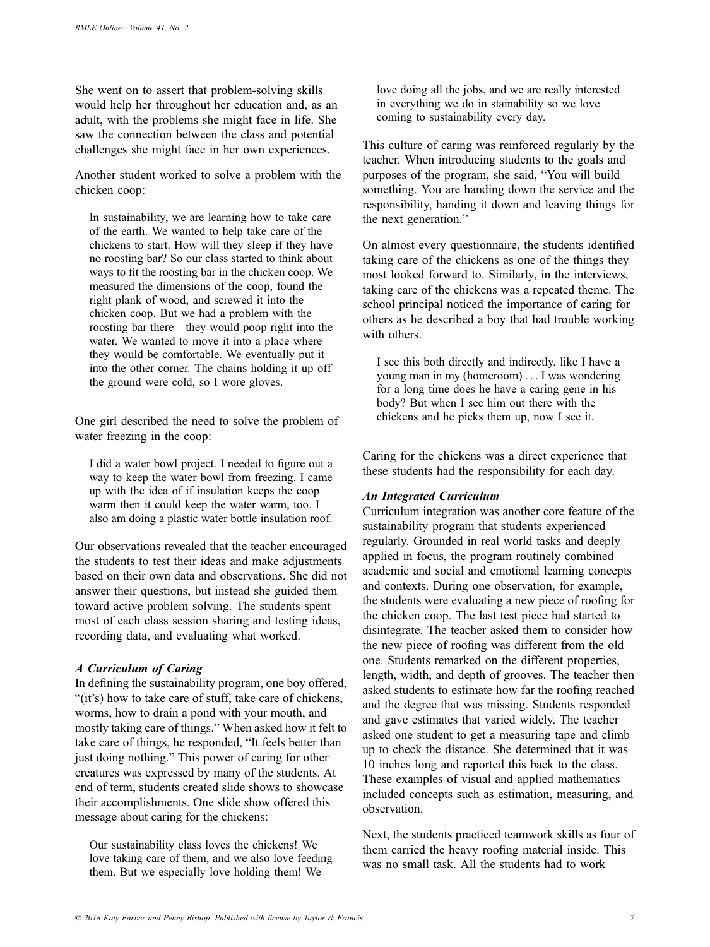She went on to assert that problem-solving skills would help her throughout her education and, as an adult, with the problems she might face in life. She saw the connection between the class and potential challenges she might face in her own experiences.

Another student worked to solve a problem with the chicken coop:

In sustainability, we are learning how to take care of the earth. We wanted to help take care of the chickens to start. How will they sleep if they have no roosting bar? So our class started to think about ways to fit the roosting bar in the chicken coop. We measured the dimensions of the coop, found the right plank of wood, and screwed it into the chicken coop. But we had a problem with the roosting bar there—they would poop right into the water. We wanted to move it into a place where they would be comfortable. We eventually put it into the other corner. The chains holding it up off the ground were cold, so I wore gloves.

One girl described the need to solve the problem of water freezing in the coop:

I did a water bowl project. I needed to figure out a way to keep the water bowl from freezing. I came up with the idea of if insulation keeps the coop warm then it could keep the water warm, too. I also am doing a plastic water bottle insulation roof.

Our observations revealed that the teacher encouraged the students to test their ideas and make adjustments based on their own data and observations. She did not answer their questions, but instead she guided them toward active problem solving. The students spent most of each class session sharing and testing ideas, recording data, and evaluating what worked.

#### A Curriculum of Caring

In defining the sustainability program, one boy offered, "(it's) how to take care of stuff, take care of chickens, worms, how to drain a pond with your mouth, and mostly taking care of things." When asked how it felt to take care of things, he responded, "It feels better than just doing nothing." This power of caring for other creatures was expressed by many of the students. At end of term, students created slide shows to showcase their accomplishments. One slide show offered this message about caring for the chickens:

Our sustainability class loves the chickens! We love taking care of them, and we also love feeding them. But we especially love holding them! We

love doing all the jobs, and we are really interested in everything we do in stainability so we love coming to sustainability every day.

This culture of caring was reinforced regularly by the teacher. When introducing students to the goals and purposes of the program, she said, "You will build something. You are handing down the service and the responsibility, handing it down and leaving things for the next generation."

On almost every questionnaire, the students identified taking care of the chickens as one of the things they most looked forward to. Similarly, in the interviews, taking care of the chickens was a repeated theme. The school principal noticed the importance of caring for others as he described a boy that had trouble working with others.

I see this both directly and indirectly, like I have a young man in my (homeroom) . . . I was wondering for a long time does he have a caring gene in his body? But when I see him out there with the chickens and he picks them up, now I see it.

Caring for the chickens was a direct experience that these students had the responsibility for each day.

## An Integrated Curriculum

Curriculum integration was another core feature of the sustainability program that students experienced regularly. Grounded in real world tasks and deeply applied in focus, the program routinely combined academic and social and emotional learning concepts and contexts. During one observation, for example, the students were evaluating a new piece of roofing for the chicken coop. The last test piece had started to disintegrate. The teacher asked them to consider how the new piece of roofing was different from the old one. Students remarked on the different properties, length, width, and depth of grooves. The teacher then asked students to estimate how far the roofing reached and the degree that was missing. Students responded and gave estimates that varied widely. The teacher asked one student to get a measuring tape and climb up to check the distance. She determined that it was 10 inches long and reported this back to the class. These examples of visual and applied mathematics included concepts such as estimation, measuring, and observation.

Next, the students practiced teamwork skills as four of them carried the heavy roofing material inside. This was no small task. All the students had to work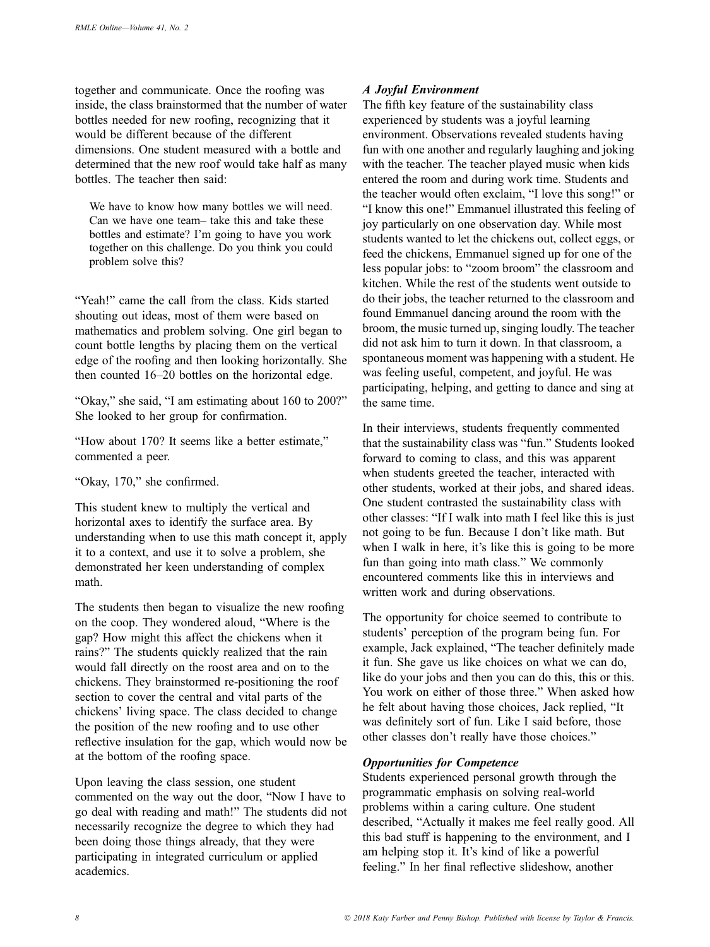together and communicate. Once the roofing was inside, the class brainstormed that the number of water bottles needed for new roofing, recognizing that it would be different because of the different dimensions. One student measured with a bottle and determined that the new roof would take half as many bottles. The teacher then said:

We have to know how many bottles we will need. Can we have one team– take this and take these bottles and estimate? I'm going to have you work together on this challenge. Do you think you could problem solve this?

"Yeah!" came the call from the class. Kids started shouting out ideas, most of them were based on mathematics and problem solving. One girl began to count bottle lengths by placing them on the vertical edge of the roofing and then looking horizontally. She then counted 16–20 bottles on the horizontal edge.

"Okay," she said, "I am estimating about 160 to 200?" She looked to her group for confirmation.

"How about 170? It seems like a better estimate," commented a peer.

"Okay, 170," she confirmed.

This student knew to multiply the vertical and horizontal axes to identify the surface area. By understanding when to use this math concept it, apply it to a context, and use it to solve a problem, she demonstrated her keen understanding of complex math.

The students then began to visualize the new roofing on the coop. They wondered aloud, "Where is the gap? How might this affect the chickens when it rains?" The students quickly realized that the rain would fall directly on the roost area and on to the chickens. They brainstormed re-positioning the roof section to cover the central and vital parts of the chickens' living space. The class decided to change the position of the new roofing and to use other reflective insulation for the gap, which would now be at the bottom of the roofing space.

Upon leaving the class session, one student commented on the way out the door, "Now I have to go deal with reading and math!" The students did not necessarily recognize the degree to which they had been doing those things already, that they were participating in integrated curriculum or applied academics.

# A Joyful Environment

The fifth key feature of the sustainability class experienced by students was a joyful learning environment. Observations revealed students having fun with one another and regularly laughing and joking with the teacher. The teacher played music when kids entered the room and during work time. Students and the teacher would often exclaim, "I love this song!" or "I know this one!" Emmanuel illustrated this feeling of joy particularly on one observation day. While most students wanted to let the chickens out, collect eggs, or feed the chickens, Emmanuel signed up for one of the less popular jobs: to "zoom broom" the classroom and kitchen. While the rest of the students went outside to do their jobs, the teacher returned to the classroom and found Emmanuel dancing around the room with the broom, the music turned up, singing loudly. The teacher did not ask him to turn it down. In that classroom, a spontaneous moment was happening with a student. He was feeling useful, competent, and joyful. He was participating, helping, and getting to dance and sing at the same time.

In their interviews, students frequently commented that the sustainability class was "fun." Students looked forward to coming to class, and this was apparent when students greeted the teacher, interacted with other students, worked at their jobs, and shared ideas. One student contrasted the sustainability class with other classes: "If I walk into math I feel like this is just not going to be fun. Because I don't like math. But when I walk in here, it's like this is going to be more fun than going into math class." We commonly encountered comments like this in interviews and written work and during observations.

The opportunity for choice seemed to contribute to students' perception of the program being fun. For example, Jack explained, "The teacher definitely made it fun. She gave us like choices on what we can do, like do your jobs and then you can do this, this or this. You work on either of those three." When asked how he felt about having those choices, Jack replied, "It was definitely sort of fun. Like I said before, those other classes don't really have those choices."

## Opportunities for Competence

Students experienced personal growth through the programmatic emphasis on solving real-world problems within a caring culture. One student described, "Actually it makes me feel really good. All this bad stuff is happening to the environment, and I am helping stop it. It's kind of like a powerful feeling." In her final reflective slideshow, another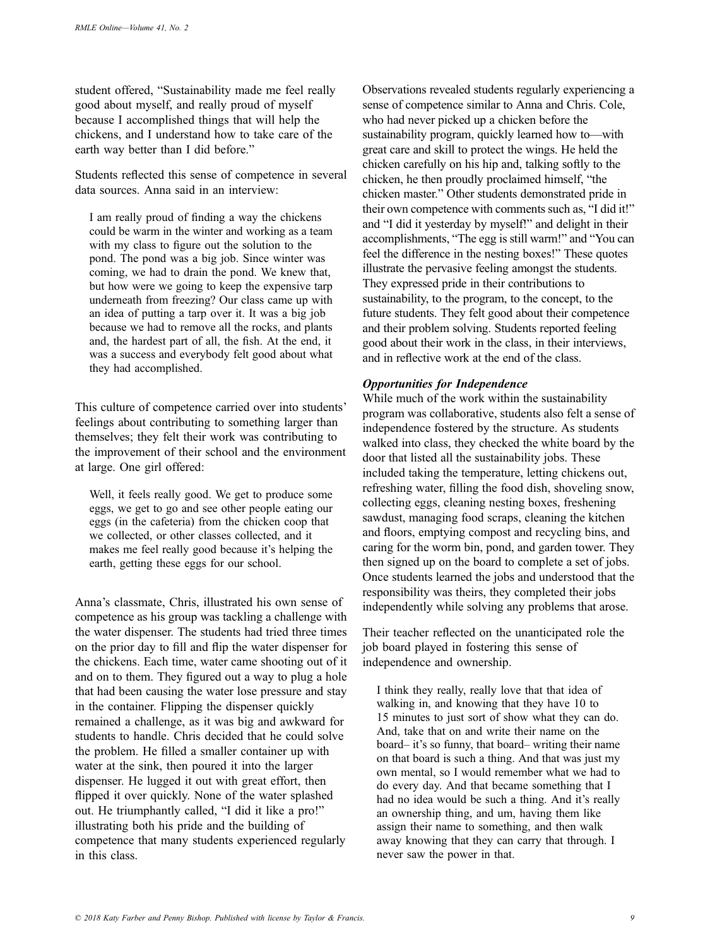student offered, "Sustainability made me feel really good about myself, and really proud of myself because I accomplished things that will help the chickens, and I understand how to take care of the earth way better than I did before."

Students reflected this sense of competence in several data sources. Anna said in an interview:

I am really proud of finding a way the chickens could be warm in the winter and working as a team with my class to figure out the solution to the pond. The pond was a big job. Since winter was coming, we had to drain the pond. We knew that, but how were we going to keep the expensive tarp underneath from freezing? Our class came up with an idea of putting a tarp over it. It was a big job because we had to remove all the rocks, and plants and, the hardest part of all, the fish. At the end, it was a success and everybody felt good about what they had accomplished.

This culture of competence carried over into students' feelings about contributing to something larger than themselves; they felt their work was contributing to the improvement of their school and the environment at large. One girl offered:

Well, it feels really good. We get to produce some eggs, we get to go and see other people eating our eggs (in the cafeteria) from the chicken coop that we collected, or other classes collected, and it makes me feel really good because it's helping the earth, getting these eggs for our school.

Anna's classmate, Chris, illustrated his own sense of competence as his group was tackling a challenge with the water dispenser. The students had tried three times on the prior day to fill and flip the water dispenser for the chickens. Each time, water came shooting out of it and on to them. They figured out a way to plug a hole that had been causing the water lose pressure and stay in the container. Flipping the dispenser quickly remained a challenge, as it was big and awkward for students to handle. Chris decided that he could solve the problem. He filled a smaller container up with water at the sink, then poured it into the larger dispenser. He lugged it out with great effort, then flipped it over quickly. None of the water splashed out. He triumphantly called, "I did it like a pro!" illustrating both his pride and the building of competence that many students experienced regularly in this class.

Observations revealed students regularly experiencing a sense of competence similar to Anna and Chris. Cole, who had never picked up a chicken before the sustainability program, quickly learned how to—with great care and skill to protect the wings. He held the chicken carefully on his hip and, talking softly to the chicken, he then proudly proclaimed himself, "the chicken master." Other students demonstrated pride in their own competence with comments such as, "I did it!" and "I did it yesterday by myself!" and delight in their accomplishments, "The egg is still warm!" and "You can feel the difference in the nesting boxes!" These quotes illustrate the pervasive feeling amongst the students. They expressed pride in their contributions to sustainability, to the program, to the concept, to the future students. They felt good about their competence and their problem solving. Students reported feeling good about their work in the class, in their interviews, and in reflective work at the end of the class.

#### Opportunities for Independence

While much of the work within the sustainability program was collaborative, students also felt a sense of independence fostered by the structure. As students walked into class, they checked the white board by the door that listed all the sustainability jobs. These included taking the temperature, letting chickens out, refreshing water, filling the food dish, shoveling snow, collecting eggs, cleaning nesting boxes, freshening sawdust, managing food scraps, cleaning the kitchen and floors, emptying compost and recycling bins, and caring for the worm bin, pond, and garden tower. They then signed up on the board to complete a set of jobs. Once students learned the jobs and understood that the responsibility was theirs, they completed their jobs independently while solving any problems that arose.

Their teacher reflected on the unanticipated role the job board played in fostering this sense of independence and ownership.

I think they really, really love that that idea of walking in, and knowing that they have 10 to 15 minutes to just sort of show what they can do. And, take that on and write their name on the board– it's so funny, that board– writing their name on that board is such a thing. And that was just my own mental, so I would remember what we had to do every day. And that became something that I had no idea would be such a thing. And it's really an ownership thing, and um, having them like assign their name to something, and then walk away knowing that they can carry that through. I never saw the power in that.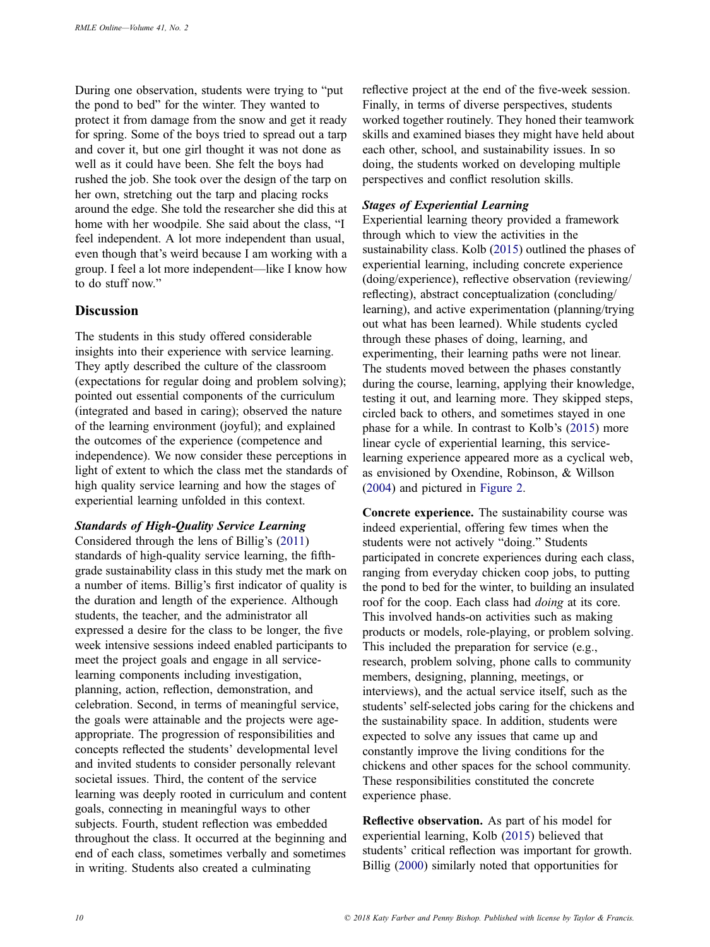During one observation, students were trying to "put the pond to bed" for the winter. They wanted to protect it from damage from the snow and get it ready for spring. Some of the boys tried to spread out a tarp and cover it, but one girl thought it was not done as well as it could have been. She felt the boys had rushed the job. She took over the design of the tarp on her own, stretching out the tarp and placing rocks around the edge. She told the researcher she did this at home with her woodpile. She said about the class, "I feel independent. A lot more independent than usual, even though that's weird because I am working with a group. I feel a lot more independent—like I know how to do stuff now."

## **Discussion**

The students in this study offered considerable insights into their experience with service learning. They aptly described the culture of the classroom (expectations for regular doing and problem solving); pointed out essential components of the curriculum (integrated and based in caring); observed the nature of the learning environment (joyful); and explained the outcomes of the experience (competence and independence). We now consider these perceptions in light of extent to which the class met the standards of high quality service learning and how the stages of experiential learning unfolded in this context.

## Standards of High-Quality Service Learning

Considered through the lens of Billig's ([2011](#page-11-0)) standards of high-quality service learning, the fifthgrade sustainability class in this study met the mark on a number of items. Billig's first indicator of quality is the duration and length of the experience. Although students, the teacher, and the administrator all expressed a desire for the class to be longer, the five week intensive sessions indeed enabled participants to meet the project goals and engage in all servicelearning components including investigation, planning, action, reflection, demonstration, and celebration. Second, in terms of meaningful service, the goals were attainable and the projects were ageappropriate. The progression of responsibilities and concepts reflected the students' developmental level and invited students to consider personally relevant societal issues. Third, the content of the service learning was deeply rooted in curriculum and content goals, connecting in meaningful ways to other subjects. Fourth, student reflection was embedded throughout the class. It occurred at the beginning and end of each class, sometimes verbally and sometimes in writing. Students also created a culminating

reflective project at the end of the five-week session. Finally, in terms of diverse perspectives, students worked together routinely. They honed their teamwork skills and examined biases they might have held about each other, school, and sustainability issues. In so doing, the students worked on developing multiple perspectives and conflict resolution skills.

#### Stages of Experiential Learning

Experiential learning theory provided a framework through which to view the activities in the sustainability class. Kolb [\(2015\)](#page-12-0) outlined the phases of experiential learning, including concrete experience (doing/experience), reflective observation (reviewing/ reflecting), abstract conceptualization (concluding/ learning), and active experimentation (planning/trying out what has been learned). While students cycled through these phases of doing, learning, and experimenting, their learning paths were not linear. The students moved between the phases constantly during the course, learning, applying their knowledge, testing it out, and learning more. They skipped steps, circled back to others, and sometimes stayed in one phase for a while. In contrast to Kolb's ([2015\)](#page-12-0) more linear cycle of experiential learning, this servicelearning experience appeared more as a cyclical web, as envisioned by Oxendine, Robinson, & Willson ([2004\)](#page-12-0) and pictured in [Figure 2](#page-10-0).

Concrete experience. The sustainability course was indeed experiential, offering few times when the students were not actively "doing." Students participated in concrete experiences during each class, ranging from everyday chicken coop jobs, to putting the pond to bed for the winter, to building an insulated roof for the coop. Each class had doing at its core. This involved hands-on activities such as making products or models, role-playing, or problem solving. This included the preparation for service (e.g., research, problem solving, phone calls to community members, designing, planning, meetings, or interviews), and the actual service itself, such as the students' self-selected jobs caring for the chickens and the sustainability space. In addition, students were expected to solve any issues that came up and constantly improve the living conditions for the chickens and other spaces for the school community. These responsibilities constituted the concrete experience phase.

Reflective observation. As part of his model for experiential learning, Kolb ([2015\)](#page-12-0) believed that students' critical reflection was important for growth. Billig ([2000\)](#page-11-0) similarly noted that opportunities for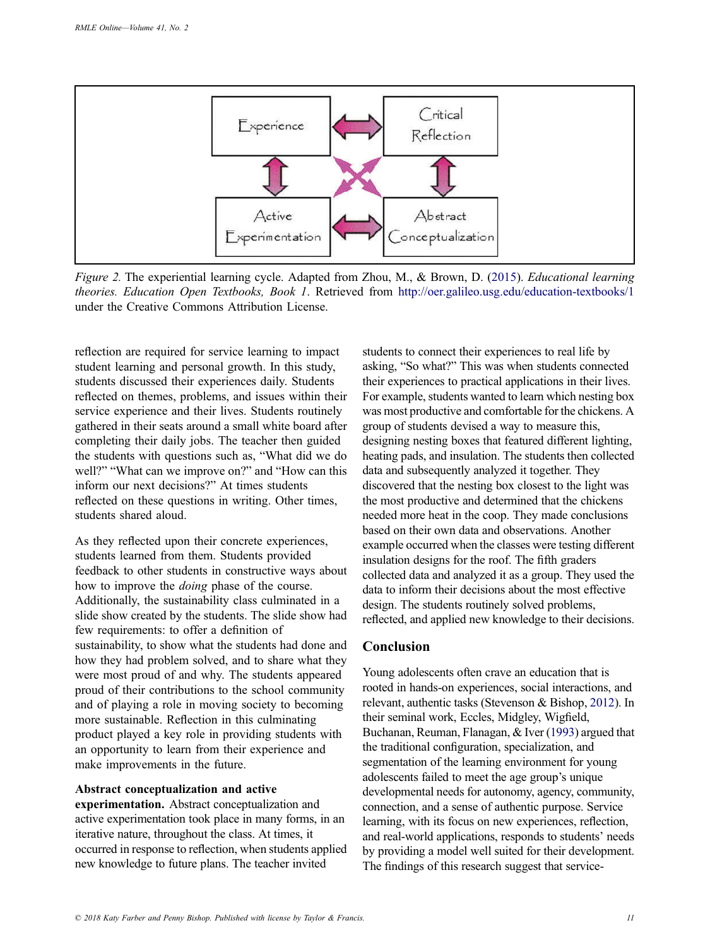<span id="page-10-0"></span>

Figure 2. The experiential learning cycle. Adapted from Zhou, M., & Brown, D. [\(2015](#page-12-0)). Educational learning theories. Education Open Textbooks, Book 1. Retrieved from <http://oer.galileo.usg.edu/education-textbooks/1> under the Creative Commons Attribution License.

reflection are required for service learning to impact student learning and personal growth. In this study, students discussed their experiences daily. Students reflected on themes, problems, and issues within their service experience and their lives. Students routinely gathered in their seats around a small white board after completing their daily jobs. The teacher then guided the students with questions such as, "What did we do well?" "What can we improve on?" and "How can this inform our next decisions?" At times students reflected on these questions in writing. Other times, students shared aloud.

As they reflected upon their concrete experiences, students learned from them. Students provided feedback to other students in constructive ways about how to improve the *doing* phase of the course. Additionally, the sustainability class culminated in a slide show created by the students. The slide show had few requirements: to offer a definition of sustainability, to show what the students had done and how they had problem solved, and to share what they were most proud of and why. The students appeared proud of their contributions to the school community and of playing a role in moving society to becoming more sustainable. Reflection in this culminating product played a key role in providing students with an opportunity to learn from their experience and make improvements in the future.

### Abstract conceptualization and active

experimentation. Abstract conceptualization and active experimentation took place in many forms, in an iterative nature, throughout the class. At times, it occurred in response to reflection, when students applied new knowledge to future plans. The teacher invited

students to connect their experiences to real life by asking, "So what?" This was when students connected their experiences to practical applications in their lives. For example, students wanted to learn which nesting box was most productive and comfortable for the chickens. A group of students devised a way to measure this, designing nesting boxes that featured different lighting, heating pads, and insulation. The students then collected data and subsequently analyzed it together. They discovered that the nesting box closest to the light was the most productive and determined that the chickens needed more heat in the coop. They made conclusions based on their own data and observations. Another example occurred when the classes were testing different insulation designs for the roof. The fifth graders collected data and analyzed it as a group. They used the data to inform their decisions about the most effective design. The students routinely solved problems, reflected, and applied new knowledge to their decisions.

#### Conclusion

Young adolescents often crave an education that is rooted in hands-on experiences, social interactions, and relevant, authentic tasks (Stevenson & Bishop, [2012](#page-12-0)). In their seminal work, Eccles, Midgley, Wigfield, Buchanan, Reuman, Flanagan, & Iver [\(1993\)](#page-11-0) argued that the traditional configuration, specialization, and segmentation of the learning environment for young adolescents failed to meet the age group's unique developmental needs for autonomy, agency, community, connection, and a sense of authentic purpose. Service learning, with its focus on new experiences, reflection, and real-world applications, responds to students' needs by providing a model well suited for their development. The findings of this research suggest that service-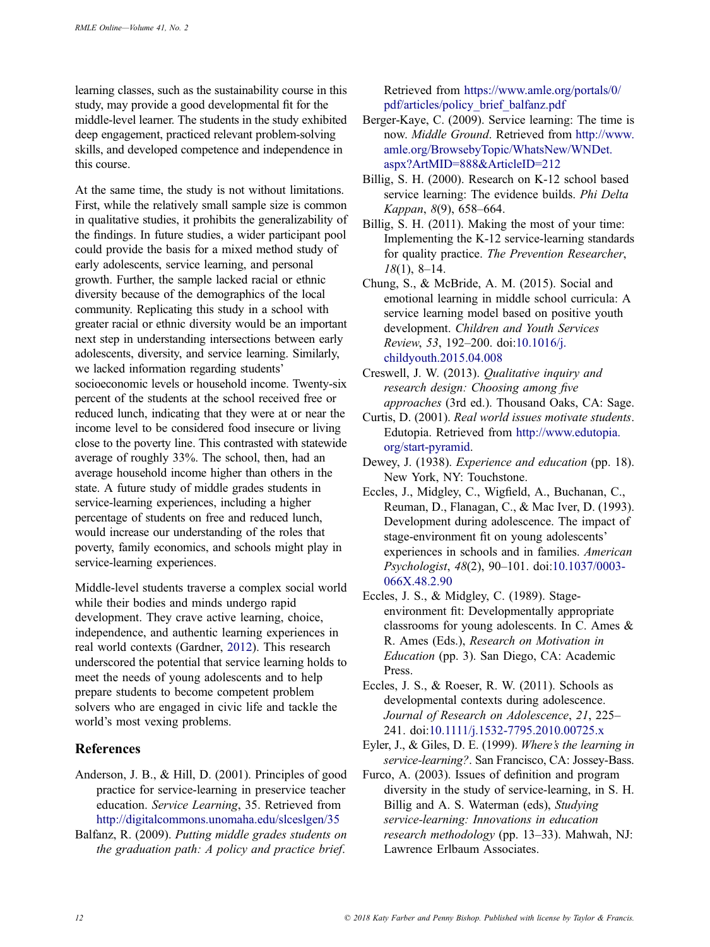<span id="page-11-0"></span>learning classes, such as the sustainability course in this study, may provide a good developmental fit for the middle-level learner. The students in the study exhibited deep engagement, practiced relevant problem-solving skills, and developed competence and independence in this course.

At the same time, the study is not without limitations. First, while the relatively small sample size is common in qualitative studies, it prohibits the generalizability of the findings. In future studies, a wider participant pool could provide the basis for a mixed method study of early adolescents, service learning, and personal growth. Further, the sample lacked racial or ethnic diversity because of the demographics of the local community. Replicating this study in a school with greater racial or ethnic diversity would be an important next step in understanding intersections between early adolescents, diversity, and service learning. Similarly, we lacked information regarding students' socioeconomic levels or household income. Twenty-six percent of the students at the school received free or reduced lunch, indicating that they were at or near the income level to be considered food insecure or living close to the poverty line. This contrasted with statewide average of roughly 33%. The school, then, had an average household income higher than others in the state. A future study of middle grades students in service-learning experiences, including a higher percentage of students on free and reduced lunch, would increase our understanding of the roles that poverty, family economics, and schools might play in service-learning experiences.

Middle-level students traverse a complex social world while their bodies and minds undergo rapid development. They crave active learning, choice, independence, and authentic learning experiences in real world contexts (Gardner, [2012](#page-12-0)). This research underscored the potential that service learning holds to meet the needs of young adolescents and to help prepare students to become competent problem solvers who are engaged in civic life and tackle the world's most vexing problems.

## **References**

- Anderson, J. B., & Hill, D. (2001). Principles of good practice for service-learning in preservice teacher education. Service Learning, 35. Retrieved from <http://digitalcommons.unomaha.edu/slceslgen/35>
- Balfanz, R. (2009). Putting middle grades students on the graduation path: A policy and practice brief.

Retrieved from [https://www.amle.org/portals/0/](https://www.amle.org/portals/0/pdf/articles/policy_brief_balfanz.pdf) [pdf/articles/policy\\_brief\\_balfanz.pdf](https://www.amle.org/portals/0/pdf/articles/policy_brief_balfanz.pdf)

- Berger-Kaye, C. (2009). Service learning: The time is now. Middle Ground. Retrieved from [http://www.](http://www.amle.org/BrowsebyTopic/WhatsNew/WNDet.aspx?ArtMID=888%26ArticleID=212) [amle.org/BrowsebyTopic/WhatsNew/WNDet.](http://www.amle.org/BrowsebyTopic/WhatsNew/WNDet.aspx?ArtMID=888%26ArticleID=212) [aspx?ArtMID=888&ArticleID=212](http://www.amle.org/BrowsebyTopic/WhatsNew/WNDet.aspx?ArtMID=888%26ArticleID=212)
- Billig, S. H. (2000). Research on K-12 school based service learning: The evidence builds. Phi Delta Kappan, 8(9), 658–664.
- Billig, S. H. (2011). Making the most of your time: Implementing the K-12 service-learning standards for quality practice. The Prevention Researcher, 18(1), 8–14.
- Chung, S., & McBride, A. M. (2015). Social and emotional learning in middle school curricula: A service learning model based on positive youth development. Children and Youth Services Review, 53, 192–200. doi:[10.1016/j.](http://dx.doi.org/10.1016/j.childyouth.2015.04.008) [childyouth.2015.04.008](http://dx.doi.org/10.1016/j.childyouth.2015.04.008)
- Creswell, J. W. (2013). Qualitative inquiry and research design: Choosing among five approaches (3rd ed.). Thousand Oaks, CA: Sage.
- Curtis, D. (2001). Real world issues motivate students. Edutopia. Retrieved from [http://www.edutopia.](http://www.edutopia.org/start-pyramid) [org/start-pyramid](http://www.edutopia.org/start-pyramid).
- Dewey, J. (1938). Experience and education (pp. 18). New York, NY: Touchstone.
- Eccles, J., Midgley, C., Wigfield, A., Buchanan, C., Reuman, D., Flanagan, C., & Mac Iver, D. (1993). Development during adolescence. The impact of stage-environment fit on young adolescents' experiences in schools and in families. American Psychologist, 48(2), 90–101. doi[:10.1037/0003-](http://dx.doi.org/10.1037/0003-066X.48.2.90) [066X.48.2.90](http://dx.doi.org/10.1037/0003-066X.48.2.90)
- Eccles, J. S., & Midgley, C. (1989). Stageenvironment fit: Developmentally appropriate classrooms for young adolescents. In C. Ames & R. Ames (Eds.), Research on Motivation in Education (pp. 3). San Diego, CA: Academic Press.
- Eccles, J. S., & Roeser, R. W. (2011). Schools as developmental contexts during adolescence. Journal of Research on Adolescence, 21, 225– 241. doi[:10.1111/j.1532-7795.2010.00725.x](http://dx.doi.org/10.1111/j.1532-7795.2010.00725.x)
- Eyler, J., & Giles, D. E. (1999). Where's the learning in service-learning?. San Francisco, CA: Jossey-Bass.
- Furco, A. (2003). Issues of definition and program diversity in the study of service-learning, in S. H. Billig and A. S. Waterman (eds), Studying service-learning: Innovations in education research methodology (pp. 13–33). Mahwah, NJ: Lawrence Erlbaum Associates.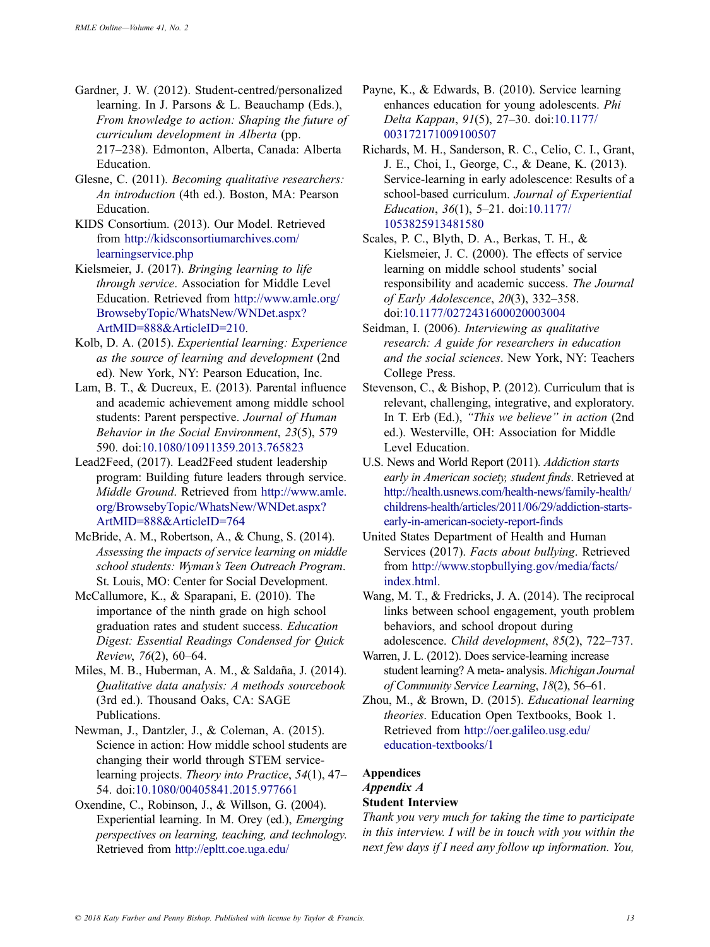- <span id="page-12-0"></span>Gardner, J. W. (2012). Student-centred/personalized learning. In J. Parsons & L. Beauchamp (Eds.), From knowledge to action: Shaping the future of curriculum development in Alberta (pp. 217–238). Edmonton, Alberta, Canada: Alberta Education.
- Glesne, C. (2011). *Becoming qualitative researchers:* An introduction (4th ed.). Boston, MA: Pearson Education.
- KIDS Consortium. (2013). Our Model. Retrieved from [http://kidsconsortiumarchives.com/](http://kidsconsortiumarchives.com/learningservice.php) [learningservice.php](http://kidsconsortiumarchives.com/learningservice.php)
- Kielsmeier, J. (2017). Bringing learning to life through service. Association for Middle Level Education. Retrieved from [http://www.amle.org/](http://www.amle.org/BrowsebyTopic/WhatsNew/WNDet.aspx?ArtMID=888%26ArticleID=210) [BrowsebyTopic/WhatsNew/WNDet.aspx?](http://www.amle.org/BrowsebyTopic/WhatsNew/WNDet.aspx?ArtMID=888%26ArticleID=210) [ArtMID=888&ArticleID=210](http://www.amle.org/BrowsebyTopic/WhatsNew/WNDet.aspx?ArtMID=888%26ArticleID=210).
- Kolb, D. A. (2015). Experiential learning: Experience as the source of learning and development (2nd ed). New York, NY: Pearson Education, Inc.
- Lam, B. T., & Ducreux, E. (2013). Parental influence and academic achievement among middle school students: Parent perspective. Journal of Human Behavior in the Social Environment, 23(5), 579 590. doi:[10.1080/10911359.2013.765823](http://dx.doi.org/10.1080/10911359.2013.765823)
- Lead2Feed, (2017). Lead2Feed student leadership program: Building future leaders through service. Middle Ground. Retrieved from [http://www.amle.](http://www.amle.org/BrowsebyTopic/WhatsNew/WNDet.aspx?ArtMID=888%26ArticleID=764) [org/BrowsebyTopic/WhatsNew/WNDet.aspx?](http://www.amle.org/BrowsebyTopic/WhatsNew/WNDet.aspx?ArtMID=888%26ArticleID=764) [ArtMID=888&ArticleID=764](http://www.amle.org/BrowsebyTopic/WhatsNew/WNDet.aspx?ArtMID=888%26ArticleID=764)
- McBride, A. M., Robertson, A., & Chung, S. (2014). Assessing the impacts of service learning on middle school students: Wyman's Teen Outreach Program. St. Louis, MO: Center for Social Development.
- McCallumore, K., & Sparapani, E. (2010). The importance of the ninth grade on high school graduation rates and student success. Education Digest: Essential Readings Condensed for Quick Review, 76(2), 60–64.
- Miles, M. B., Huberman, A. M., & Saldaña, J. (2014). Qualitative data analysis: A methods sourcebook (3rd ed.). Thousand Oaks, CA: SAGE Publications.
- Newman, J., Dantzler, J., & Coleman, A. (2015). Science in action: How middle school students are changing their world through STEM servicelearning projects. Theory into Practice, 54(1), 47– 54. doi[:10.1080/00405841.2015.977661](http://dx.doi.org/10.1080/00405841.2015.977661)
- Oxendine, C., Robinson, J., & Willson, G. (2004). Experiential learning. In M. Orey (ed.), Emerging perspectives on learning, teaching, and technology. Retrieved from <http://epltt.coe.uga.edu/>
- Payne, K., & Edwards, B. (2010). Service learning enhances education for young adolescents. Phi Delta Kappan, 91(5), 27–30. doi:[10.1177/](http://dx.doi.org/10.1177/003172171009100507) [003172171009100507](http://dx.doi.org/10.1177/003172171009100507)
- Richards, M. H., Sanderson, R. C., Celio, C. I., Grant, J. E., Choi, I., George, C., & Deane, K. (2013). Service-learning in early adolescence: Results of a school-based curriculum. Journal of Experiential Education, 36(1), 5–21. doi[:10.1177/](http://dx.doi.org/10.1177/1053825913481580) [1053825913481580](http://dx.doi.org/10.1177/1053825913481580)
- Scales, P. C., Blyth, D. A., Berkas, T. H., & Kielsmeier, J. C. (2000). The effects of service learning on middle school students' social responsibility and academic success. The Journal of Early Adolescence, 20(3), 332–358. doi[:10.1177/0272431600020003004](http://dx.doi.org/10.1177/0272431600020003004)
- Seidman, I. (2006). Interviewing as qualitative research: A guide for researchers in education and the social sciences. New York, NY: Teachers College Press.
- Stevenson, C., & Bishop, P. (2012). Curriculum that is relevant, challenging, integrative, and exploratory. In T. Erb (Ed.), "This we believe" in action (2nd ed.). Westerville, OH: Association for Middle Level Education.
- U.S. News and World Report (2011). Addiction starts early in American society, student finds. Retrieved at [http://health.usnews.com/health-news/family-health/](http://health.usnews.com/health-news/family-health/childrens-health/articles/2011/06/29/addiction-starts-early-in-american-society-report-finds) [childrens-health/articles/2011/06/29/addiction-starts](http://health.usnews.com/health-news/family-health/childrens-health/articles/2011/06/29/addiction-starts-early-in-american-society-report-finds)[early-in-american-society-report-](http://health.usnews.com/health-news/family-health/childrens-health/articles/2011/06/29/addiction-starts-early-in-american-society-report-finds)finds
- United States Department of Health and Human Services (2017). Facts about bullying. Retrieved from [http://www.stopbullying.gov/media/facts/](http://www.stopbullying.gov/media/facts/index.html) [index.html.](http://www.stopbullying.gov/media/facts/index.html)
- Wang, M. T., & Fredricks, J. A. (2014). The reciprocal links between school engagement, youth problem behaviors, and school dropout during adolescence. Child development, 85(2), 722–737.
- Warren, J. L. (2012). Does service-learning increase student learning? A meta- analysis. Michigan Journal of Community Service Learning, 18(2), 56–61.
- Zhou, M., & Brown, D. (2015). Educational learning theories. Education Open Textbooks, Book 1. Retrieved from [http://oer.galileo.usg.edu/](http://oer.galileo.usg.edu/education-textbooks/1) [education-textbooks/1](http://oer.galileo.usg.edu/education-textbooks/1)

# Appendices Appendix A Student Interview

Thank you very much for taking the time to participate in this interview. I will be in touch with you within the next few days if I need any follow up information. You,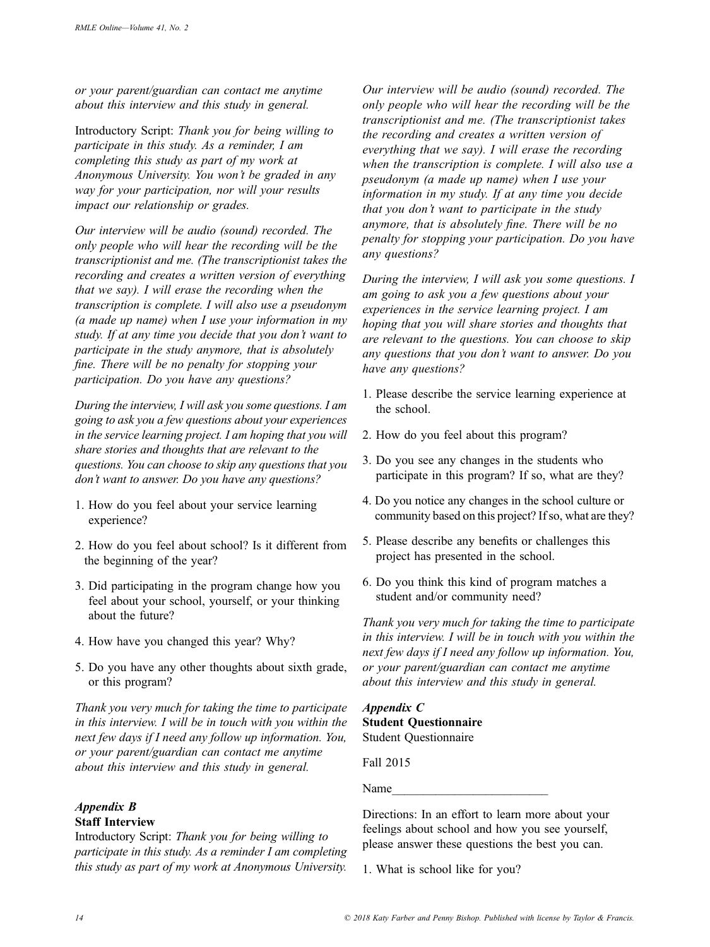or your parent/guardian can contact me anytime about this interview and this study in general.

Introductory Script: Thank you for being willing to participate in this study. As a reminder, I am completing this study as part of my work at Anonymous University. You won't be graded in any way for your participation, nor will your results impact our relationship or grades.

Our interview will be audio (sound) recorded. The only people who will hear the recording will be the transcriptionist and me. (The transcriptionist takes the recording and creates a written version of everything that we say). I will erase the recording when the transcription is complete. I will also use a pseudonym (a made up name) when I use your information in my study. If at any time you decide that you don't want to participate in the study anymore, that is absolutely fine. There will be no penalty for stopping your participation. Do you have any questions?

During the interview, I will ask you some questions. I am going to ask you a few questions about your experiences in the service learning project. I am hoping that you will share stories and thoughts that are relevant to the questions. You can choose to skip any questions that you don't want to answer. Do you have any questions?

- 1. How do you feel about your service learning experience?
- 2. How do you feel about school? Is it different from the beginning of the year?
- 3. Did participating in the program change how you feel about your school, yourself, or your thinking about the future?
- 4. How have you changed this year? Why?
- 5. Do you have any other thoughts about sixth grade, or this program?

Thank you very much for taking the time to participate in this interview. I will be in touch with you within the next few days if I need any follow up information. You, or your parent/guardian can contact me anytime about this interview and this study in general.

# Appendix B Staff Interview

Introductory Script: Thank you for being willing to participate in this study. As a reminder I am completing this study as part of my work at Anonymous University. Our interview will be audio (sound) recorded. The only people who will hear the recording will be the transcriptionist and me. (The transcriptionist takes the recording and creates a written version of everything that we say). I will erase the recording when the transcription is complete. I will also use a pseudonym (a made up name) when I use your information in my study. If at any time you decide that you don't want to participate in the study anymore, that is absolutely fine. There will be no penalty for stopping your participation. Do you have any questions?

During the interview, I will ask you some questions. I am going to ask you a few questions about your experiences in the service learning project. I am hoping that you will share stories and thoughts that are relevant to the questions. You can choose to skip any questions that you don't want to answer. Do you have any questions?

- 1. Please describe the service learning experience at the school.
- 2. How do you feel about this program?
- 3. Do you see any changes in the students who participate in this program? If so, what are they?
- 4. Do you notice any changes in the school culture or community based on this project? If so, what are they?
- 5. Please describe any benefits or challenges this project has presented in the school.
- 6. Do you think this kind of program matches a student and/or community need?

Thank you very much for taking the time to participate in this interview. I will be in touch with you within the next few days if I need any follow up information. You, or your parent/guardian can contact me anytime about this interview and this study in general.

# Appendix C Student Questionnaire Student Questionnaire

Fall 2015

Name\_\_\_\_\_\_\_\_\_\_\_\_\_\_\_\_\_\_\_\_\_\_\_\_\_

Directions: In an effort to learn more about your feelings about school and how you see yourself, please answer these questions the best you can.

1. What is school like for you?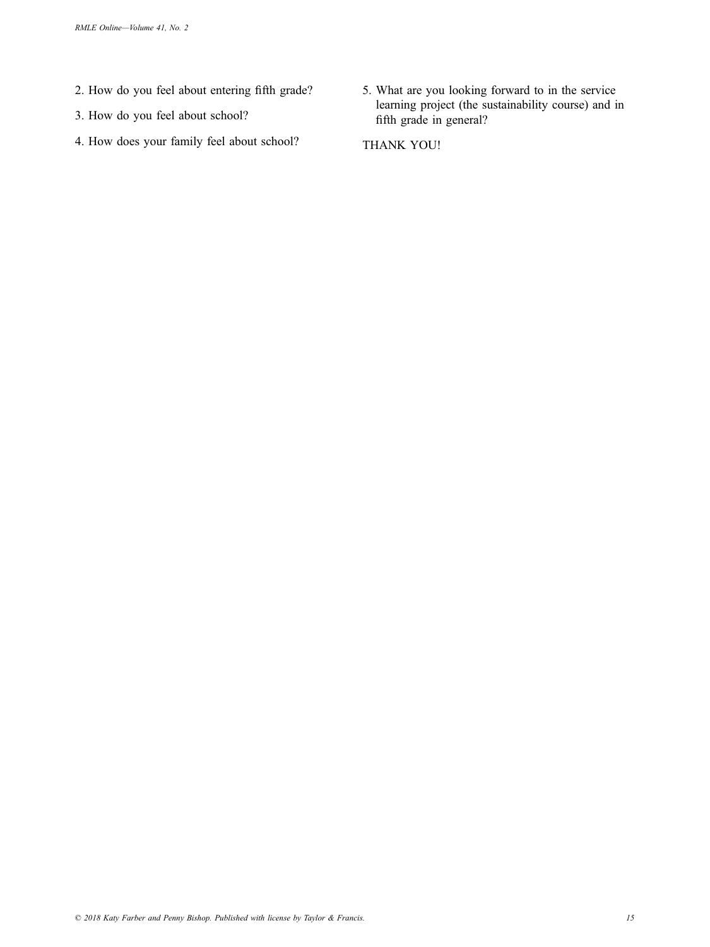- 2. How do you feel about entering fifth grade?
- 3. How do you feel about school?
- 4. How does your family feel about school?
- 5. What are you looking forward to in the service learning project (the sustainability course) and in fifth grade in general?

THANK YOU!